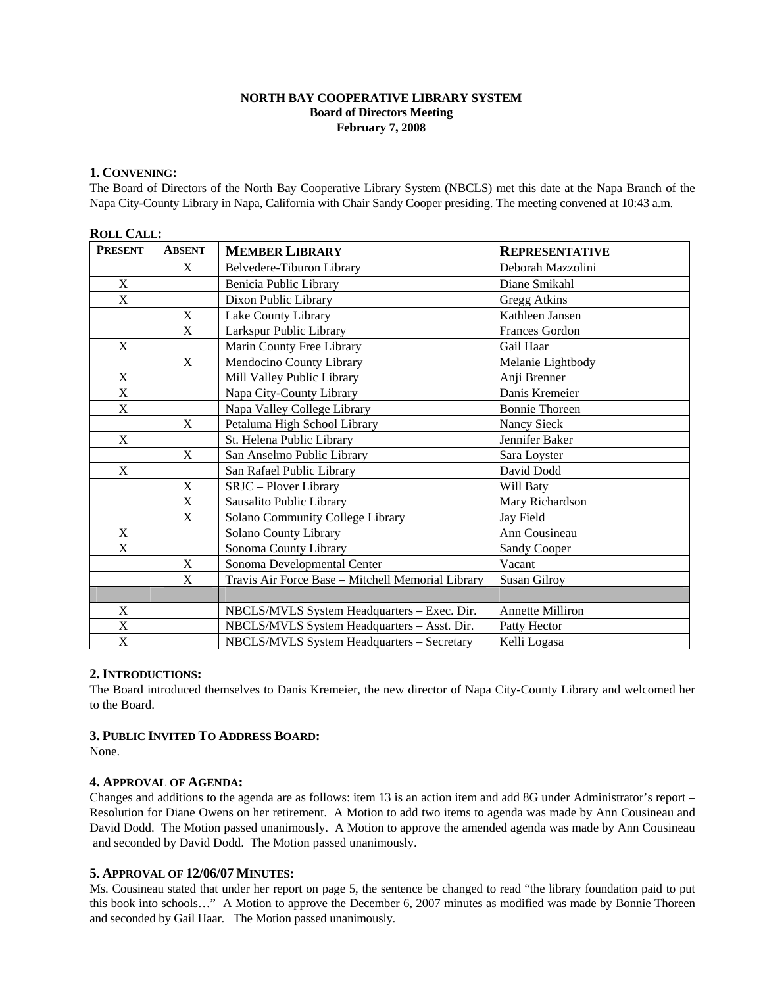### **NORTH BAY COOPERATIVE LIBRARY SYSTEM Board of Directors Meeting February 7, 2008**

# **1. CONVENING:**

The Board of Directors of the North Bay Cooperative Library System (NBCLS) met this date at the Napa Branch of the Napa City-County Library in Napa, California with Chair Sandy Cooper presiding. The meeting convened at 10:43 a.m.

| <b>ROLL CALL:</b>         |               |                                                   |                         |
|---------------------------|---------------|---------------------------------------------------|-------------------------|
| <b>PRESENT</b>            | <b>ABSENT</b> | <b>MEMBER LIBRARY</b>                             | <b>REPRESENTATIVE</b>   |
|                           | X             | Belvedere-Tiburon Library                         | Deborah Mazzolini       |
| X                         |               | Benicia Public Library                            | Diane Smikahl           |
| X                         |               | Dixon Public Library                              | Gregg Atkins            |
|                           | X             | Lake County Library                               | Kathleen Jansen         |
|                           | X             | Larkspur Public Library                           | Frances Gordon          |
| X                         |               | Marin County Free Library                         | Gail Haar               |
|                           | X             | Mendocino County Library                          | Melanie Lightbody       |
| $\mathbf X$               |               | Mill Valley Public Library                        | Anji Brenner            |
| X                         |               | Napa City-County Library                          | Danis Kremeier          |
| $\overline{\mathbf{X}}$   |               | Napa Valley College Library                       | <b>Bonnie Thoreen</b>   |
|                           | X             | Petaluma High School Library                      | Nancy Sieck             |
| $\mathbf X$               |               | St. Helena Public Library                         | Jennifer Baker          |
|                           | X             | San Anselmo Public Library                        | Sara Loyster            |
| X                         |               | San Rafael Public Library                         | David Dodd              |
|                           | X             | SRJC - Plover Library                             | Will Baty               |
|                           | X             | Sausalito Public Library                          | Mary Richardson         |
|                           | X             | Solano Community College Library                  | Jay Field               |
| X                         |               | Solano County Library                             | Ann Cousineau           |
| X                         |               | Sonoma County Library                             | <b>Sandy Cooper</b>     |
|                           | X             | Sonoma Developmental Center                       | Vacant                  |
|                           | X             | Travis Air Force Base - Mitchell Memorial Library | Susan Gilroy            |
|                           |               |                                                   |                         |
| X                         |               | NBCLS/MVLS System Headquarters - Exec. Dir.       | <b>Annette Milliron</b> |
| $\boldsymbol{\mathrm{X}}$ |               | NBCLS/MVLS System Headquarters - Asst. Dir.       | Patty Hector            |
| $\boldsymbol{\mathrm{X}}$ |               | NBCLS/MVLS System Headquarters - Secretary        | Kelli Logasa            |

# **2.INTRODUCTIONS:**

The Board introduced themselves to Danis Kremeier, the new director of Napa City-County Library and welcomed her to the Board.

### **3. PUBLIC INVITED TO ADDRESS BOARD:**

None.

### **4. APPROVAL OF AGENDA:**

Changes and additions to the agenda are as follows: item 13 is an action item and add 8G under Administrator's report – Resolution for Diane Owens on her retirement. A Motion to add two items to agenda was made by Ann Cousineau and David Dodd. The Motion passed unanimously. A Motion to approve the amended agenda was made by Ann Cousineau and seconded by David Dodd. The Motion passed unanimously.

### **5. APPROVAL OF 12/06/07 MINUTES:**

Ms. Cousineau stated that under her report on page 5, the sentence be changed to read "the library foundation paid to put this book into schools…" A Motion to approve the December 6, 2007 minutes as modified was made by Bonnie Thoreen and seconded by Gail Haar. The Motion passed unanimously.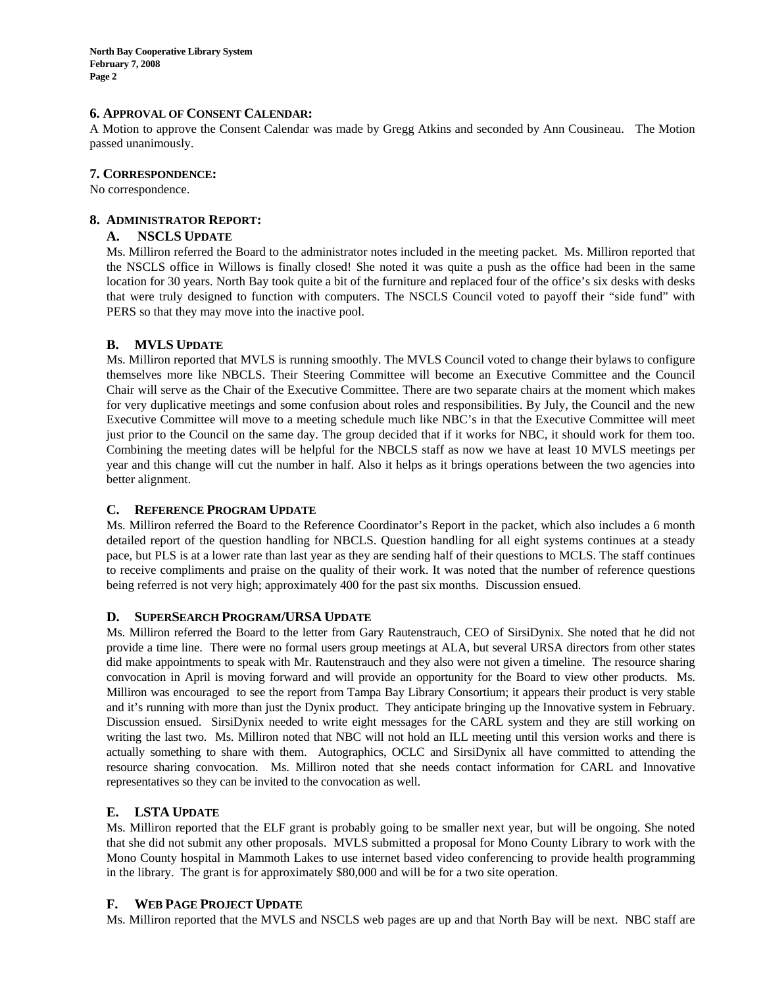**North Bay Cooperative Library System February 7, 2008 Page 2** 

#### **6. APPROVAL OF CONSENT CALENDAR:**

A Motion to approve the Consent Calendar was made by Gregg Atkins and seconded by Ann Cousineau. The Motion passed unanimously.

#### **7. CORRESPONDENCE:**

No correspondence.

#### **8. ADMINISTRATOR REPORT:**

#### **A. NSCLS UPDATE**

Ms. Milliron referred the Board to the administrator notes included in the meeting packet. Ms. Milliron reported that the NSCLS office in Willows is finally closed! She noted it was quite a push as the office had been in the same location for 30 years. North Bay took quite a bit of the furniture and replaced four of the office's six desks with desks that were truly designed to function with computers. The NSCLS Council voted to payoff their "side fund" with PERS so that they may move into the inactive pool.

### **B. MVLS UPDATE**

Ms. Milliron reported that MVLS is running smoothly. The MVLS Council voted to change their bylaws to configure themselves more like NBCLS. Their Steering Committee will become an Executive Committee and the Council Chair will serve as the Chair of the Executive Committee. There are two separate chairs at the moment which makes for very duplicative meetings and some confusion about roles and responsibilities. By July, the Council and the new Executive Committee will move to a meeting schedule much like NBC's in that the Executive Committee will meet just prior to the Council on the same day. The group decided that if it works for NBC, it should work for them too. Combining the meeting dates will be helpful for the NBCLS staff as now we have at least 10 MVLS meetings per year and this change will cut the number in half. Also it helps as it brings operations between the two agencies into better alignment.

### **C. REFERENCE PROGRAM UPDATE**

Ms. Milliron referred the Board to the Reference Coordinator's Report in the packet, which also includes a 6 month detailed report of the question handling for NBCLS. Question handling for all eight systems continues at a steady pace, but PLS is at a lower rate than last year as they are sending half of their questions to MCLS. The staff continues to receive compliments and praise on the quality of their work. It was noted that the number of reference questions being referred is not very high; approximately 400 for the past six months. Discussion ensued.

### **D. SUPERSEARCH PROGRAM/URSA UPDATE**

Ms. Milliron referred the Board to the letter from Gary Rautenstrauch, CEO of SirsiDynix. She noted that he did not provide a time line. There were no formal users group meetings at ALA, but several URSA directors from other states did make appointments to speak with Mr. Rautenstrauch and they also were not given a timeline. The resource sharing convocation in April is moving forward and will provide an opportunity for the Board to view other products. Ms. Milliron was encouraged to see the report from Tampa Bay Library Consortium; it appears their product is very stable and it's running with more than just the Dynix product. They anticipate bringing up the Innovative system in February. Discussion ensued. SirsiDynix needed to write eight messages for the CARL system and they are still working on writing the last two. Ms. Milliron noted that NBC will not hold an ILL meeting until this version works and there is actually something to share with them. Autographics, OCLC and SirsiDynix all have committed to attending the resource sharing convocation. Ms. Milliron noted that she needs contact information for CARL and Innovative representatives so they can be invited to the convocation as well.

### **E. LSTA UPDATE**

Ms. Milliron reported that the ELF grant is probably going to be smaller next year, but will be ongoing. She noted that she did not submit any other proposals. MVLS submitted a proposal for Mono County Library to work with the Mono County hospital in Mammoth Lakes to use internet based video conferencing to provide health programming in the library. The grant is for approximately \$80,000 and will be for a two site operation.

### **F. WEB PAGE PROJECT UPDATE**

Ms. Milliron reported that the MVLS and NSCLS web pages are up and that North Bay will be next. NBC staff are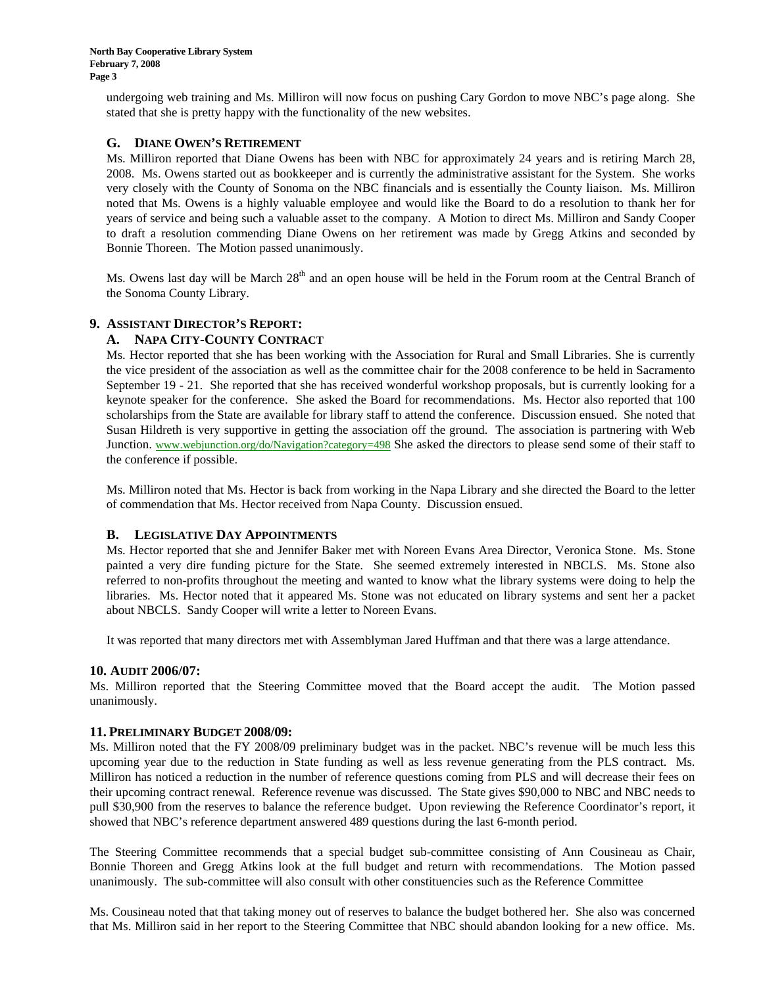undergoing web training and Ms. Milliron will now focus on pushing Cary Gordon to move NBC's page along. She stated that she is pretty happy with the functionality of the new websites.

# **G. DIANE OWEN'S RETIREMENT**

Ms. Milliron reported that Diane Owens has been with NBC for approximately 24 years and is retiring March 28, 2008. Ms. Owens started out as bookkeeper and is currently the administrative assistant for the System. She works very closely with the County of Sonoma on the NBC financials and is essentially the County liaison. Ms. Milliron noted that Ms. Owens is a highly valuable employee and would like the Board to do a resolution to thank her for years of service and being such a valuable asset to the company. A Motion to direct Ms. Milliron and Sandy Cooper to draft a resolution commending Diane Owens on her retirement was made by Gregg Atkins and seconded by Bonnie Thoreen. The Motion passed unanimously.

Ms. Owens last day will be March  $28<sup>th</sup>$  and an open house will be held in the Forum room at the Central Branch of the Sonoma County Library.

# **9. ASSISTANT DIRECTOR'S REPORT:**

# **A. NAPA CITY-COUNTY CONTRACT**

Ms. Hector reported that she has been working with the Association for Rural and Small Libraries. She is currently the vice president of the association as well as the committee chair for the 2008 conference to be held in Sacramento September 19 - 21. She reported that she has received wonderful workshop proposals, but is currently looking for a keynote speaker for the conference. She asked the Board for recommendations. Ms. Hector also reported that 100 scholarships from the State are available for library staff to attend the conference. Discussion ensued. She noted that Susan Hildreth is very supportive in getting the association off the ground. The association is partnering with Web Junction. www.webjunction.org/do/Navigation?category=498 She asked the directors to please send some of their staff to the conference if possible.

Ms. Milliron noted that Ms. Hector is back from working in the Napa Library and she directed the Board to the letter of commendation that Ms. Hector received from Napa County. Discussion ensued.

### **B. LEGISLATIVE DAY APPOINTMENTS**

Ms. Hector reported that she and Jennifer Baker met with Noreen Evans Area Director, Veronica Stone. Ms. Stone painted a very dire funding picture for the State. She seemed extremely interested in NBCLS. Ms. Stone also referred to non-profits throughout the meeting and wanted to know what the library systems were doing to help the libraries. Ms. Hector noted that it appeared Ms. Stone was not educated on library systems and sent her a packet about NBCLS. Sandy Cooper will write a letter to Noreen Evans.

It was reported that many directors met with Assemblyman Jared Huffman and that there was a large attendance.

### **10. AUDIT 2006/07:**

Ms. Milliron reported that the Steering Committee moved that the Board accept the audit. The Motion passed unanimously.

### **11. PRELIMINARY BUDGET 2008/09:**

Ms. Milliron noted that the FY 2008/09 preliminary budget was in the packet. NBC's revenue will be much less this upcoming year due to the reduction in State funding as well as less revenue generating from the PLS contract. Ms. Milliron has noticed a reduction in the number of reference questions coming from PLS and will decrease their fees on their upcoming contract renewal. Reference revenue was discussed. The State gives \$90,000 to NBC and NBC needs to pull \$30,900 from the reserves to balance the reference budget. Upon reviewing the Reference Coordinator's report, it showed that NBC's reference department answered 489 questions during the last 6-month period.

The Steering Committee recommends that a special budget sub-committee consisting of Ann Cousineau as Chair, Bonnie Thoreen and Gregg Atkins look at the full budget and return with recommendations. The Motion passed unanimously. The sub-committee will also consult with other constituencies such as the Reference Committee

Ms. Cousineau noted that that taking money out of reserves to balance the budget bothered her. She also was concerned that Ms. Milliron said in her report to the Steering Committee that NBC should abandon looking for a new office. Ms.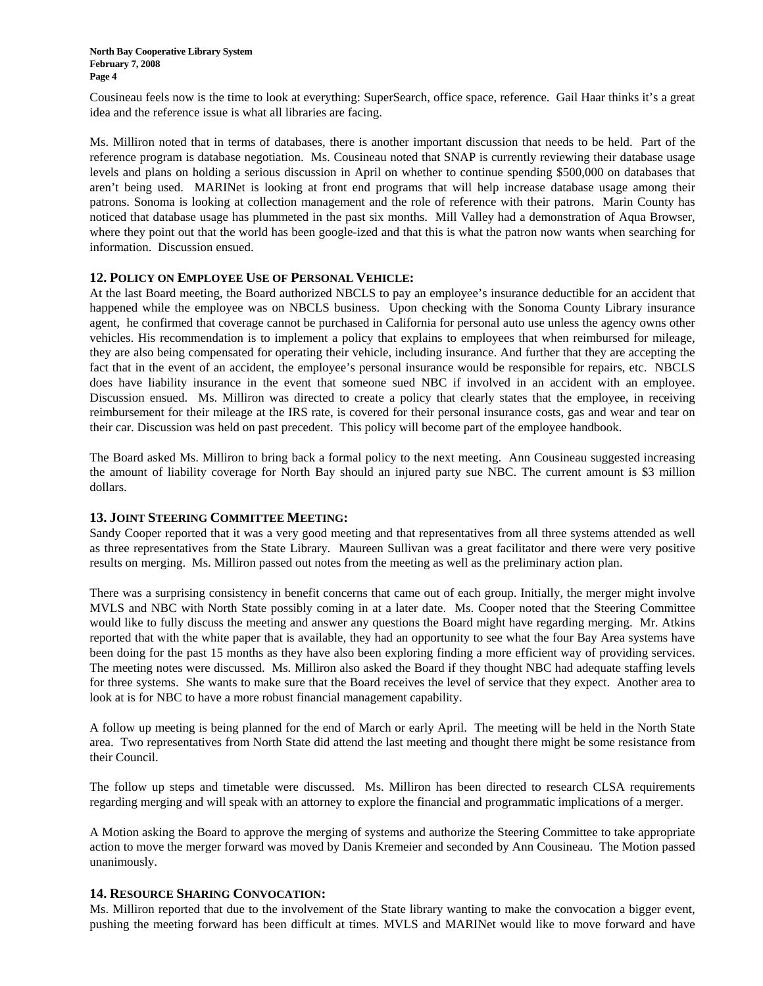Cousineau feels now is the time to look at everything: SuperSearch, office space, reference. Gail Haar thinks it's a great idea and the reference issue is what all libraries are facing.

Ms. Milliron noted that in terms of databases, there is another important discussion that needs to be held. Part of the reference program is database negotiation. Ms. Cousineau noted that SNAP is currently reviewing their database usage levels and plans on holding a serious discussion in April on whether to continue spending \$500,000 on databases that aren't being used. MARINet is looking at front end programs that will help increase database usage among their patrons. Sonoma is looking at collection management and the role of reference with their patrons. Marin County has noticed that database usage has plummeted in the past six months. Mill Valley had a demonstration of Aqua Browser, where they point out that the world has been google-ized and that this is what the patron now wants when searching for information. Discussion ensued.

### **12. POLICY ON EMPLOYEE USE OF PERSONAL VEHICLE:**

At the last Board meeting, the Board authorized NBCLS to pay an employee's insurance deductible for an accident that happened while the employee was on NBCLS business. Upon checking with the Sonoma County Library insurance agent, he confirmed that coverage cannot be purchased in California for personal auto use unless the agency owns other vehicles. His recommendation is to implement a policy that explains to employees that when reimbursed for mileage, they are also being compensated for operating their vehicle, including insurance. And further that they are accepting the fact that in the event of an accident, the employee's personal insurance would be responsible for repairs, etc. NBCLS does have liability insurance in the event that someone sued NBC if involved in an accident with an employee. Discussion ensued. Ms. Milliron was directed to create a policy that clearly states that the employee, in receiving reimbursement for their mileage at the IRS rate, is covered for their personal insurance costs, gas and wear and tear on their car. Discussion was held on past precedent. This policy will become part of the employee handbook.

The Board asked Ms. Milliron to bring back a formal policy to the next meeting. Ann Cousineau suggested increasing the amount of liability coverage for North Bay should an injured party sue NBC. The current amount is \$3 million dollars.

### **13. JOINT STEERING COMMITTEE MEETING:**

Sandy Cooper reported that it was a very good meeting and that representatives from all three systems attended as well as three representatives from the State Library. Maureen Sullivan was a great facilitator and there were very positive results on merging. Ms. Milliron passed out notes from the meeting as well as the preliminary action plan.

There was a surprising consistency in benefit concerns that came out of each group. Initially, the merger might involve MVLS and NBC with North State possibly coming in at a later date. Ms. Cooper noted that the Steering Committee would like to fully discuss the meeting and answer any questions the Board might have regarding merging. Mr. Atkins reported that with the white paper that is available, they had an opportunity to see what the four Bay Area systems have been doing for the past 15 months as they have also been exploring finding a more efficient way of providing services. The meeting notes were discussed. Ms. Milliron also asked the Board if they thought NBC had adequate staffing levels for three systems. She wants to make sure that the Board receives the level of service that they expect. Another area to look at is for NBC to have a more robust financial management capability.

A follow up meeting is being planned for the end of March or early April. The meeting will be held in the North State area. Two representatives from North State did attend the last meeting and thought there might be some resistance from their Council.

The follow up steps and timetable were discussed. Ms. Milliron has been directed to research CLSA requirements regarding merging and will speak with an attorney to explore the financial and programmatic implications of a merger.

A Motion asking the Board to approve the merging of systems and authorize the Steering Committee to take appropriate action to move the merger forward was moved by Danis Kremeier and seconded by Ann Cousineau. The Motion passed unanimously.

### **14. RESOURCE SHARING CONVOCATION:**

Ms. Milliron reported that due to the involvement of the State library wanting to make the convocation a bigger event, pushing the meeting forward has been difficult at times. MVLS and MARINet would like to move forward and have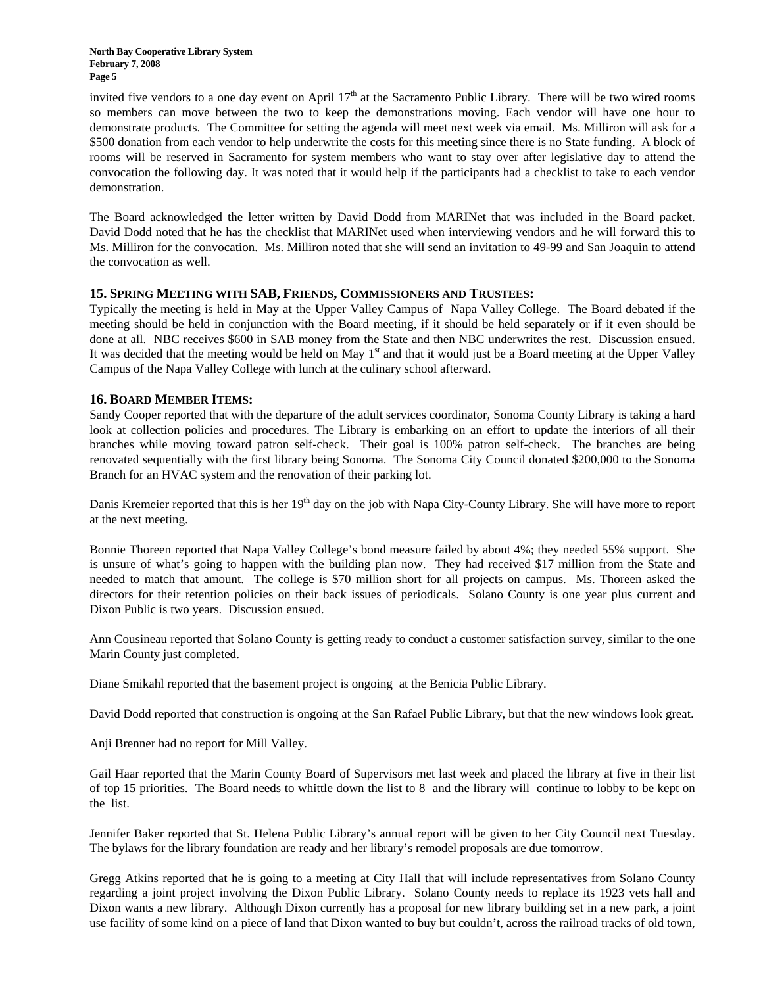**North Bay Cooperative Library System February 7, 2008 Page 5** 

invited five vendors to a one day event on April  $17<sup>th</sup>$  at the Sacramento Public Library. There will be two wired rooms so members can move between the two to keep the demonstrations moving. Each vendor will have one hour to demonstrate products. The Committee for setting the agenda will meet next week via email. Ms. Milliron will ask for a \$500 donation from each vendor to help underwrite the costs for this meeting since there is no State funding. A block of rooms will be reserved in Sacramento for system members who want to stay over after legislative day to attend the convocation the following day. It was noted that it would help if the participants had a checklist to take to each vendor demonstration.

The Board acknowledged the letter written by David Dodd from MARINet that was included in the Board packet. David Dodd noted that he has the checklist that MARINet used when interviewing vendors and he will forward this to Ms. Milliron for the convocation. Ms. Milliron noted that she will send an invitation to 49-99 and San Joaquin to attend the convocation as well.

### **15. SPRING MEETING WITH SAB, FRIENDS, COMMISSIONERS AND TRUSTEES:**

Typically the meeting is held in May at the Upper Valley Campus of Napa Valley College. The Board debated if the meeting should be held in conjunction with the Board meeting, if it should be held separately or if it even should be done at all. NBC receives \$600 in SAB money from the State and then NBC underwrites the rest. Discussion ensued. It was decided that the meeting would be held on May  $1<sup>st</sup>$  and that it would just be a Board meeting at the Upper Valley Campus of the Napa Valley College with lunch at the culinary school afterward.

### **16. BOARD MEMBER ITEMS:**

Sandy Cooper reported that with the departure of the adult services coordinator, Sonoma County Library is taking a hard look at collection policies and procedures. The Library is embarking on an effort to update the interiors of all their branches while moving toward patron self-check. Their goal is 100% patron self-check. The branches are being renovated sequentially with the first library being Sonoma. The Sonoma City Council donated \$200,000 to the Sonoma Branch for an HVAC system and the renovation of their parking lot.

Danis Kremeier reported that this is her 19<sup>th</sup> day on the job with Napa City-County Library. She will have more to report at the next meeting.

Bonnie Thoreen reported that Napa Valley College's bond measure failed by about 4%; they needed 55% support. She is unsure of what's going to happen with the building plan now. They had received \$17 million from the State and needed to match that amount. The college is \$70 million short for all projects on campus. Ms. Thoreen asked the directors for their retention policies on their back issues of periodicals. Solano County is one year plus current and Dixon Public is two years. Discussion ensued.

Ann Cousineau reported that Solano County is getting ready to conduct a customer satisfaction survey, similar to the one Marin County just completed.

Diane Smikahl reported that the basement project is ongoing at the Benicia Public Library.

David Dodd reported that construction is ongoing at the San Rafael Public Library, but that the new windows look great.

Anji Brenner had no report for Mill Valley.

Gail Haar reported that the Marin County Board of Supervisors met last week and placed the library at five in their list of top 15 priorities. The Board needs to whittle down the list to 8 and the library will continue to lobby to be kept on the list.

Jennifer Baker reported that St. Helena Public Library's annual report will be given to her City Council next Tuesday. The bylaws for the library foundation are ready and her library's remodel proposals are due tomorrow.

Gregg Atkins reported that he is going to a meeting at City Hall that will include representatives from Solano County regarding a joint project involving the Dixon Public Library. Solano County needs to replace its 1923 vets hall and Dixon wants a new library. Although Dixon currently has a proposal for new library building set in a new park, a joint use facility of some kind on a piece of land that Dixon wanted to buy but couldn't, across the railroad tracks of old town,